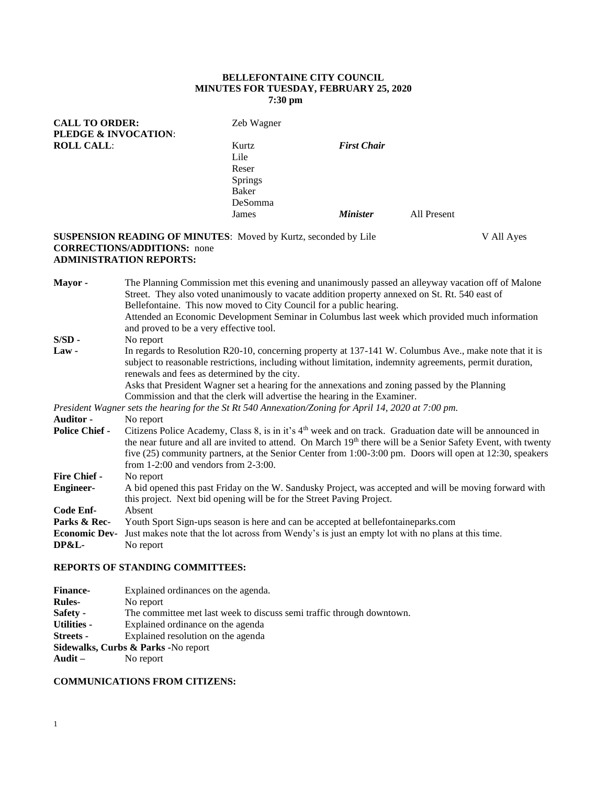## **BELLEFONTAINE CITY COUNCIL MINUTES FOR TUESDAY, FEBRUARY 25, 2020 7:30 pm**

| <b>CALL TO ORDER:</b><br>PLEDGE & INVOCATION: |                                                                                                                                                                                                                                                                                                                                                                                                                                                   | Zeb Wagner                                                                                                                                                                                                                                                                                                                              |                    |             |            |
|-----------------------------------------------|---------------------------------------------------------------------------------------------------------------------------------------------------------------------------------------------------------------------------------------------------------------------------------------------------------------------------------------------------------------------------------------------------------------------------------------------------|-----------------------------------------------------------------------------------------------------------------------------------------------------------------------------------------------------------------------------------------------------------------------------------------------------------------------------------------|--------------------|-------------|------------|
| <b>ROLL CALL:</b>                             |                                                                                                                                                                                                                                                                                                                                                                                                                                                   | Kurtz<br>Lile                                                                                                                                                                                                                                                                                                                           | <b>First Chair</b> |             |            |
|                                               |                                                                                                                                                                                                                                                                                                                                                                                                                                                   | Reser                                                                                                                                                                                                                                                                                                                                   |                    |             |            |
|                                               |                                                                                                                                                                                                                                                                                                                                                                                                                                                   | <b>Springs</b>                                                                                                                                                                                                                                                                                                                          |                    |             |            |
|                                               |                                                                                                                                                                                                                                                                                                                                                                                                                                                   | <b>Baker</b>                                                                                                                                                                                                                                                                                                                            |                    |             |            |
|                                               |                                                                                                                                                                                                                                                                                                                                                                                                                                                   | DeSomma                                                                                                                                                                                                                                                                                                                                 |                    |             |            |
|                                               |                                                                                                                                                                                                                                                                                                                                                                                                                                                   | James                                                                                                                                                                                                                                                                                                                                   | <b>Minister</b>    | All Present |            |
|                                               | <b>CORRECTIONS/ADDITIONS:</b> none<br><b>ADMINISTRATION REPORTS:</b>                                                                                                                                                                                                                                                                                                                                                                              | <b>SUSPENSION READING OF MINUTES:</b> Moved by Kurtz, seconded by Lile                                                                                                                                                                                                                                                                  |                    |             | V All Ayes |
| Mayor-                                        | The Planning Commission met this evening and unanimously passed an alleyway vacation off of Malone<br>Street. They also voted unanimously to vacate addition property annexed on St. Rt. 540 east of<br>Bellefontaine. This now moved to City Council for a public hearing.<br>Attended an Economic Development Seminar in Columbus last week which provided much information<br>and proved to be a very effective tool.                          |                                                                                                                                                                                                                                                                                                                                         |                    |             |            |
| $S/SD -$                                      | No report                                                                                                                                                                                                                                                                                                                                                                                                                                         |                                                                                                                                                                                                                                                                                                                                         |                    |             |            |
| $Law -$                                       | In regards to Resolution R20-10, concerning property at 137-141 W. Columbus Ave., make note that it is<br>subject to reasonable restrictions, including without limitation, indemnity agreements, permit duration,<br>renewals and fees as determined by the city.<br>Asks that President Wagner set a hearing for the annexations and zoning passed by the Planning<br>Commission and that the clerk will advertise the hearing in the Examiner. |                                                                                                                                                                                                                                                                                                                                         |                    |             |            |
|                                               |                                                                                                                                                                                                                                                                                                                                                                                                                                                   | President Wagner sets the hearing for the St Rt 540 Annexation/Zoning for April 14, 2020 at 7:00 pm.                                                                                                                                                                                                                                    |                    |             |            |
| <b>Auditor -</b>                              | No report                                                                                                                                                                                                                                                                                                                                                                                                                                         |                                                                                                                                                                                                                                                                                                                                         |                    |             |            |
| <b>Police Chief -</b>                         | from $1-2:00$ and vendors from $2-3:00$ .                                                                                                                                                                                                                                                                                                                                                                                                         | Citizens Police Academy, Class 8, is in it's $4th$ week and on track. Graduation date will be announced in<br>the near future and all are invited to attend. On March 19th there will be a Senior Safety Event, with twenty<br>five (25) community partners, at the Senior Center from 1:00-3:00 pm. Doors will open at 12:30, speakers |                    |             |            |
| <b>Fire Chief -</b>                           | No report                                                                                                                                                                                                                                                                                                                                                                                                                                         |                                                                                                                                                                                                                                                                                                                                         |                    |             |            |
| <b>Engineer-</b>                              |                                                                                                                                                                                                                                                                                                                                                                                                                                                   | A bid opened this past Friday on the W. Sandusky Project, was accepted and will be moving forward with<br>this project. Next bid opening will be for the Street Paving Project.                                                                                                                                                         |                    |             |            |

**Code Enf-** Absent

Parks & Rec- Youth Sport Sign-ups season is here and can be accepted at bellefontaineparks.com

**Economic Dev-** Just makes note that the lot across from Wendy's is just an empty lot with no plans at this time. **DP&L-** No report

## **REPORTS OF STANDING COMMITTEES:**

| <b>Finance-</b>    | Explained ordinances on the agenda.                                   |
|--------------------|-----------------------------------------------------------------------|
| <b>Rules-</b>      | No report                                                             |
| Safety -           | The committee met last week to discuss semi traffic through downtown. |
| <b>Utilities -</b> | Explained ordinance on the agenda                                     |
| <b>Streets</b> -   | Explained resolution on the agenda                                    |
|                    | Sidewalks, Curbs & Parks - No report                                  |
| Audit $-$          | No report                                                             |

### **COMMUNICATIONS FROM CITIZENS:**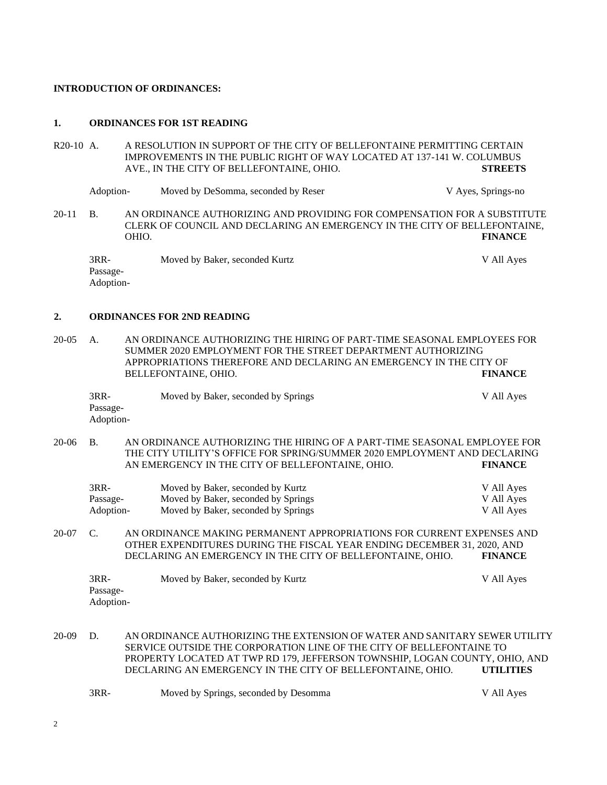#### **INTRODUCTION OF ORDINANCES:**

#### **1. ORDINANCES FOR 1ST READING**

R20-10 A. A RESOLUTION IN SUPPORT OF THE CITY OF BELLEFONTAINE PERMITTING CERTAIN IMPROVEMENTS IN THE PUBLIC RIGHT OF WAY LOCATED AT 137-141 W. COLUMBUS AVE., IN THE CITY OF BELLEFONTAINE, OHIO. **STREETS**

Adoption- Moved by DeSomma, seconded by Reser V Ayes, Springs-no

20-11 B. AN ORDINANCE AUTHORIZING AND PROVIDING FOR COMPENSATION FOR A SUBSTITUTE CLERK OF COUNCIL AND DECLARING AN EMERGENCY IN THE CITY OF BELLEFONTAINE, OHIO. **FINANCE**

3RR- Moved by Baker, seconded Kurtz V All Ayes Passage-Adoption-

#### **2. ORDINANCES FOR 2ND READING**

20-05 A. AN ORDINANCE AUTHORIZING THE HIRING OF PART-TIME SEASONAL EMPLOYEES FOR SUMMER 2020 EMPLOYMENT FOR THE STREET DEPARTMENT AUTHORIZING APPROPRIATIONS THEREFORE AND DECLARING AN EMERGENCY IN THE CITY OF BELLEFONTAINE, OHIO. **FINANCE**

| $3RR-$    | Moved by Baker, seconded by Springs | V All Ayes |
|-----------|-------------------------------------|------------|
| Passage-  |                                     |            |
| Adoption- |                                     |            |

20-06 B. AN ORDINANCE AUTHORIZING THE HIRING OF A PART-TIME SEASONAL EMPLOYEE FOR THE CITY UTILITY'S OFFICE FOR SPRING/SUMMER 2020 EMPLOYMENT AND DECLARING AN EMERGENCY IN THE CITY OF BELLEFONTAINE, OHIO. **FINANCE**

| 3RR-      | Moved by Baker, seconded by Kurtz   | V All Ayes |
|-----------|-------------------------------------|------------|
| Passage-  | Moved by Baker, seconded by Springs | V All Ayes |
| Adoption- | Moved by Baker, seconded by Springs | V All Ayes |

20-07 C. AN ORDINANCE MAKING PERMANENT APPROPRIATIONS FOR CURRENT EXPENSES AND OTHER EXPENDITURES DURING THE FISCAL YEAR ENDING DECEMBER 31, 2020, AND DECLARING AN EMERGENCY IN THE CITY OF BELLEFONTAINE, OHIO. **FINANCE**

| $3RR-$    | Moved by Baker, seconded by Kurtz | V All Ayes |
|-----------|-----------------------------------|------------|
| Passage-  |                                   |            |
| Adoption- |                                   |            |

20-09 D. AN ORDINANCE AUTHORIZING THE EXTENSION OF WATER AND SANITARY SEWER UTILITY SERVICE OUTSIDE THE CORPORATION LINE OF THE CITY OF BELLEFONTAINE TO PROPERTY LOCATED AT TWP RD 179, JEFFERSON TOWNSHIP, LOGAN COUNTY, OHIO, AND DECLARING AN EMERGENCY IN THE CITY OF BELLEFONTAINE, OHIO. **UTILITIES**

| 3RR-<br>Moved by Springs, seconded by Desomma | V All Aves |
|-----------------------------------------------|------------|
|-----------------------------------------------|------------|